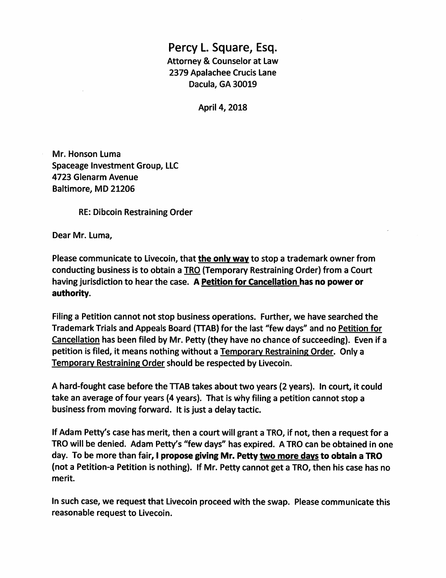## Percy L. Square, Esq. Attorney & Counselor at Law 2379 Apalachee Crucis Lane Dacula, GA 30019

April 4, 2018

Mr. Honson Luma Spaceage investment Group, LLC 4723 Glenarm Avenue Baltimore, MD 21206

RE: Dibcoin Restraining Order

Dear Mr. Luma,

Please communicate to Livecoin, that the only way to stop a trademark owner from conducting business is to obtain a TRO (Temporary Restraining Order) from a Court having jurisdiction to hear the case. A Petition for Cancellation has no power or authority.

Filing a Petition cannot not stop business operations. Further, we have searched the Trademark Trials and Appeals Board (TTAB) for the last "few days" and no Petition for Cancellation has been filed by Mr. Petty (they have no chance of succeeding). Even if a petition is filed, it means nothing without a Temporarv Restraining Order. Only a Temporarv Restraining Order should be respected by Livecoin.

A hard-fought case before the TTAB takes about two years (2 years). In court, it could take an average of four years (4 years). That is Why filing a petition cannot stop a business from moving forward. It is Just a delay tactic.

If Adam Petty's case has merit, then a court will grant a TRO, if not, then a request for a TRO will be denied. Adam Petty's "few days" has expired. A TRO can be obtained in one day. To be more than fair, 1 propose giving Mr. Petty two more davs to obtain a TRO (not a Petition-a Petition is nothing). If Mr. Petty cannot get a TRO, then his case has no merit.

In such case, we request that Livecoin proceed with the swap. Please communicate this reasonable request to Livecoin.